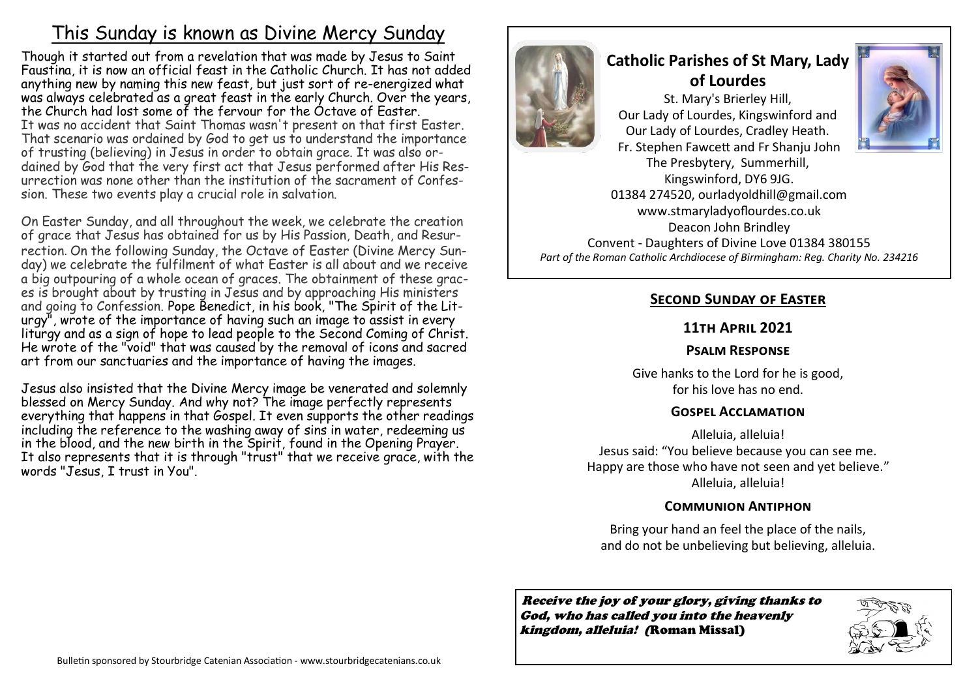## This Sunday is known as Divine Mercy Sunday

Though it started out from a revelation that was made by Jesus to Saint Faustina, it is now an official feast in the Catholic Church. It has not added anything new by naming this new feast, but just sort of re-energized what was always celebrated as a great feast in the early Church. Over the years, the Church had lost some of the fervour for the Octave of Easter. It was no accident that Saint Thomas wasn't present on that first Easter. That scenario was ordained by God to get us to understand the importance of trusting (believing) in Jesus in order to obtain grace. It was also ordained by God that the very first act that Jesus performed after His Resurrection was none other than the institution of the sacrament of Confession. These two events play a crucial role in salvation.

On Easter Sunday, and all throughout the week, we celebrate the creation of grace that Jesus has obtained for us by His Passion, Death, and Resurrection. On the following Sunday, the Octave of Easter (Divine Mercy Sunday) we celebrate the fulfilment of what Easter is all about and we receive a big outpouring of a whole ocean of graces. The obtainment of these graces is brought about by trusting in Jesus and by approaching His ministers and going to Confession. Pope Benedict, in his book, "The Spirit of the Liturgy", wrote of the importance of having such an image to assist in every liturgy and as a sign of hope to lead people to the Second Coming of Christ. He wrote of the "void" that was caused by the removal of icons and sacred art from our sanctuaries and the importance of having the images.

Jesus also insisted that the Divine Mercy image be venerated and solemnly blessed on Mercy Sunday. And why not? The image perfectly represents everything that happens in that Gospel. It even supports the other readings including the reference to the washing away of sins in water, redeeming us in the blood, and the new birth in the Spirit, found in the Opening Prayer. It also represents that it is through "trust" that we receive grace, with the words "Jesus, I trust in You".



# **Catholic Parishes of St Mary, Lady of Lourdes**

St. Mary's Brierley Hill, Our Lady of Lourdes, Kingswinford and Our Lady of Lourdes, Cradley Heath. Fr. Stephen Fawcett and Fr Shanju John The Presbytery, Summerhill, Kingswinford, DY6 9JG. 01384 274520, ourladyoldhill@gmail.com www.stmaryladyoflourdes.co.uk

Deacon John Brindley Convent - Daughters of Divine Love 01384 380155 *Part of the Roman Catholic Archdiocese of Birmingham: Reg. Charity No. 234216*

### **Second Sunday of Easter**

#### **11th April 2021**

#### **Psalm Response**

Give hanks to the Lord for he is good, for his love has no end.

#### **Gospel Acclamation**

Alleluia, alleluia! Jesus said: "You believe because you can see me. Happy are those who have not seen and yet believe." Alleluia, alleluia!

#### **Communion Antiphon**

Bring your hand an feel the place of the nails, and do not be unbelieving but believing, alleluia.

Receive the joy of your glory, giving thanks to God, who has called you into the heavenly kingdom, alleluia! (Roman Missal)